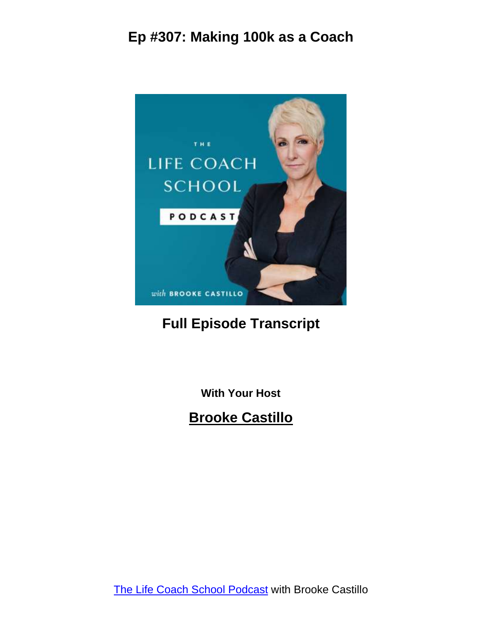

#### **Full Episode Transcript**

**With Your Host**

**Brooke Castillo**

The Life Coach School [Podcast](http://www.thelifecoachschool.com/) with Brooke Castillo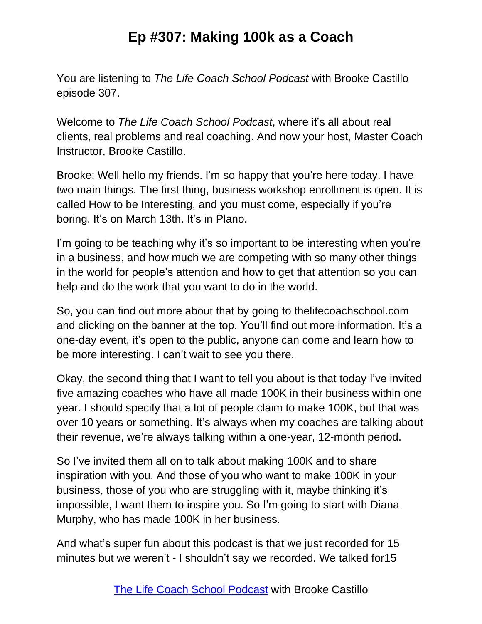You are listening to *The Life Coach School Podcast* with Brooke Castillo episode 307.

Welcome to *The Life Coach School Podcast*, where it's all about real clients, real problems and real coaching. And now your host, Master Coach Instructor, Brooke Castillo.

Brooke: Well hello my friends. I'm so happy that you're here today. I have two main things. The first thing, business workshop enrollment is open. It is called How to be Interesting, and you must come, especially if you're boring. It's on March 13th. It's in Plano.

I'm going to be teaching why it's so important to be interesting when you're in a business, and how much we are competing with so many other things in the world for people's attention and how to get that attention so you can help and do the work that you want to do in the world.

So, you can find out more about that by going to thelifecoachschool.com and clicking on the banner at the top. You'll find out more information. It's a one-day event, it's open to the public, anyone can come and learn how to be more interesting. I can't wait to see you there.

Okay, the second thing that I want to tell you about is that today I've invited five amazing coaches who have all made 100K in their business within one year. I should specify that a lot of people claim to make 100K, but that was over 10 years or something. It's always when my coaches are talking about their revenue, we're always talking within a one-year, 12-month period.

So I've invited them all on to talk about making 100K and to share inspiration with you. And those of you who want to make 100K in your business, those of you who are struggling with it, maybe thinking it's impossible, I want them to inspire you. So I'm going to start with Diana Murphy, who has made 100K in her business.

And what's super fun about this podcast is that we just recorded for 15 minutes but we weren't - I shouldn't say we recorded. We talked for15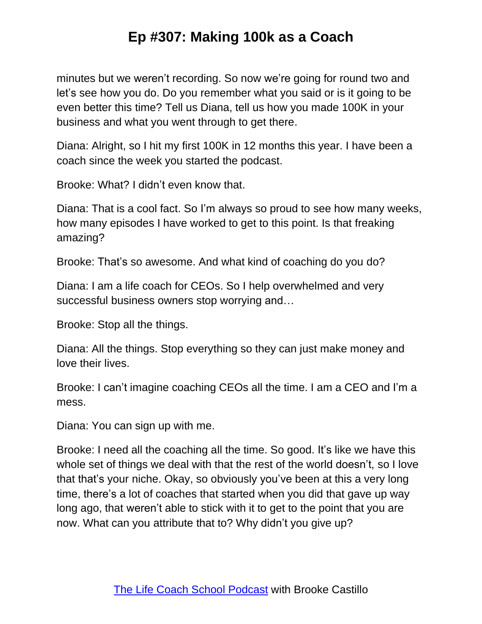minutes but we weren't recording. So now we're going for round two and let's see how you do. Do you remember what you said or is it going to be even better this time? Tell us Diana, tell us how you made 100K in your business and what you went through to get there.

Diana: Alright, so I hit my first 100K in 12 months this year. I have been a coach since the week you started the podcast.

Brooke: What? I didn't even know that.

Diana: That is a cool fact. So I'm always so proud to see how many weeks, how many episodes I have worked to get to this point. Is that freaking amazing?

Brooke: That's so awesome. And what kind of coaching do you do?

Diana: I am a life coach for CEOs. So I help overwhelmed and very successful business owners stop worrying and…

Brooke: Stop all the things.

Diana: All the things. Stop everything so they can just make money and love their lives.

Brooke: I can't imagine coaching CEOs all the time. I am a CEO and I'm a mess.

Diana: You can sign up with me.

Brooke: I need all the coaching all the time. So good. It's like we have this whole set of things we deal with that the rest of the world doesn't, so I love that that's your niche. Okay, so obviously you've been at this a very long time, there's a lot of coaches that started when you did that gave up way long ago, that weren't able to stick with it to get to the point that you are now. What can you attribute that to? Why didn't you give up?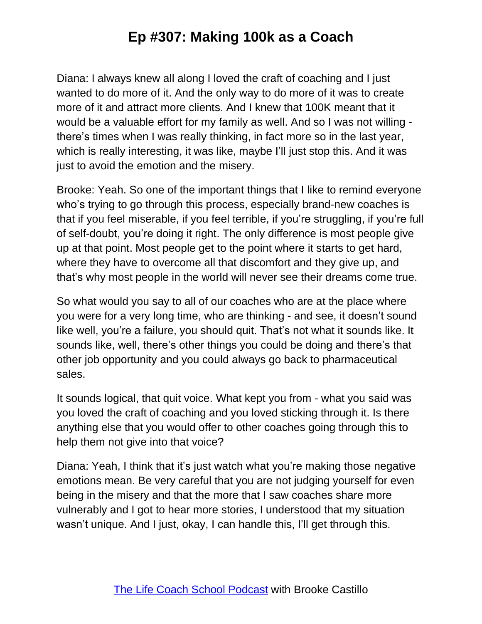Diana: I always knew all along I loved the craft of coaching and I just wanted to do more of it. And the only way to do more of it was to create more of it and attract more clients. And I knew that 100K meant that it would be a valuable effort for my family as well. And so I was not willing there's times when I was really thinking, in fact more so in the last year, which is really interesting, it was like, maybe I'll just stop this. And it was just to avoid the emotion and the misery.

Brooke: Yeah. So one of the important things that I like to remind everyone who's trying to go through this process, especially brand-new coaches is that if you feel miserable, if you feel terrible, if you're struggling, if you're full of self-doubt, you're doing it right. The only difference is most people give up at that point. Most people get to the point where it starts to get hard, where they have to overcome all that discomfort and they give up, and that's why most people in the world will never see their dreams come true.

So what would you say to all of our coaches who are at the place where you were for a very long time, who are thinking - and see, it doesn't sound like well, you're a failure, you should quit. That's not what it sounds like. It sounds like, well, there's other things you could be doing and there's that other job opportunity and you could always go back to pharmaceutical sales.

It sounds logical, that quit voice. What kept you from - what you said was you loved the craft of coaching and you loved sticking through it. Is there anything else that you would offer to other coaches going through this to help them not give into that voice?

Diana: Yeah, I think that it's just watch what you're making those negative emotions mean. Be very careful that you are not judging yourself for even being in the misery and that the more that I saw coaches share more vulnerably and I got to hear more stories, I understood that my situation wasn't unique. And I just, okay, I can handle this, I'll get through this.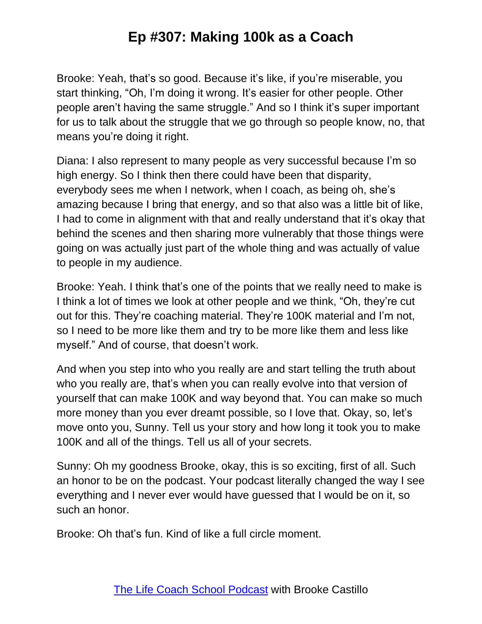Brooke: Yeah, that's so good. Because it's like, if you're miserable, you start thinking, "Oh, I'm doing it wrong. It's easier for other people. Other people aren't having the same struggle." And so I think it's super important for us to talk about the struggle that we go through so people know, no, that means you're doing it right.

Diana: I also represent to many people as very successful because I'm so high energy. So I think then there could have been that disparity, everybody sees me when I network, when I coach, as being oh, she's amazing because I bring that energy, and so that also was a little bit of like, I had to come in alignment with that and really understand that it's okay that behind the scenes and then sharing more vulnerably that those things were going on was actually just part of the whole thing and was actually of value to people in my audience.

Brooke: Yeah. I think that's one of the points that we really need to make is I think a lot of times we look at other people and we think, "Oh, they're cut out for this. They're coaching material. They're 100K material and I'm not, so I need to be more like them and try to be more like them and less like myself." And of course, that doesn't work.

And when you step into who you really are and start telling the truth about who you really are, that's when you can really evolve into that version of yourself that can make 100K and way beyond that. You can make so much more money than you ever dreamt possible, so I love that. Okay, so, let's move onto you, Sunny. Tell us your story and how long it took you to make 100K and all of the things. Tell us all of your secrets.

Sunny: Oh my goodness Brooke, okay, this is so exciting, first of all. Such an honor to be on the podcast. Your podcast literally changed the way I see everything and I never ever would have guessed that I would be on it, so such an honor.

Brooke: Oh that's fun. Kind of like a full circle moment.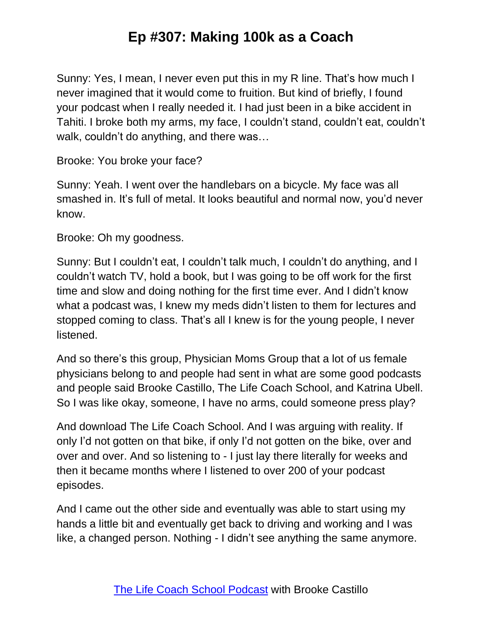Sunny: Yes, I mean, I never even put this in my R line. That's how much I never imagined that it would come to fruition. But kind of briefly, I found your podcast when I really needed it. I had just been in a bike accident in Tahiti. I broke both my arms, my face, I couldn't stand, couldn't eat, couldn't walk, couldn't do anything, and there was…

Brooke: You broke your face?

Sunny: Yeah. I went over the handlebars on a bicycle. My face was all smashed in. It's full of metal. It looks beautiful and normal now, you'd never know.

Brooke: Oh my goodness.

Sunny: But I couldn't eat, I couldn't talk much, I couldn't do anything, and I couldn't watch TV, hold a book, but I was going to be off work for the first time and slow and doing nothing for the first time ever. And I didn't know what a podcast was, I knew my meds didn't listen to them for lectures and stopped coming to class. That's all I knew is for the young people, I never listened.

And so there's this group, Physician Moms Group that a lot of us female physicians belong to and people had sent in what are some good podcasts and people said Brooke Castillo, The Life Coach School, and Katrina Ubell. So I was like okay, someone, I have no arms, could someone press play?

And download The Life Coach School. And I was arguing with reality. If only I'd not gotten on that bike, if only I'd not gotten on the bike, over and over and over. And so listening to - I just lay there literally for weeks and then it became months where I listened to over 200 of your podcast episodes.

And I came out the other side and eventually was able to start using my hands a little bit and eventually get back to driving and working and I was like, a changed person. Nothing - I didn't see anything the same anymore.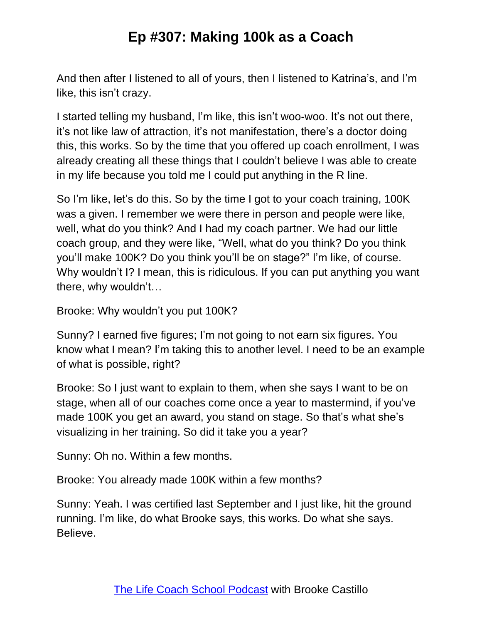And then after I listened to all of yours, then I listened to Katrina's, and I'm like, this isn't crazy.

I started telling my husband, I'm like, this isn't woo-woo. It's not out there, it's not like law of attraction, it's not manifestation, there's a doctor doing this, this works. So by the time that you offered up coach enrollment, I was already creating all these things that I couldn't believe I was able to create in my life because you told me I could put anything in the R line.

So I'm like, let's do this. So by the time I got to your coach training, 100K was a given. I remember we were there in person and people were like, well, what do you think? And I had my coach partner. We had our little coach group, and they were like, "Well, what do you think? Do you think you'll make 100K? Do you think you'll be on stage?" I'm like, of course. Why wouldn't I? I mean, this is ridiculous. If you can put anything you want there, why wouldn't…

Brooke: Why wouldn't you put 100K?

Sunny? I earned five figures; I'm not going to not earn six figures. You know what I mean? I'm taking this to another level. I need to be an example of what is possible, right?

Brooke: So I just want to explain to them, when she says I want to be on stage, when all of our coaches come once a year to mastermind, if you've made 100K you get an award, you stand on stage. So that's what she's visualizing in her training. So did it take you a year?

Sunny: Oh no. Within a few months.

Brooke: You already made 100K within a few months?

Sunny: Yeah. I was certified last September and I just like, hit the ground running. I'm like, do what Brooke says, this works. Do what she says. Believe.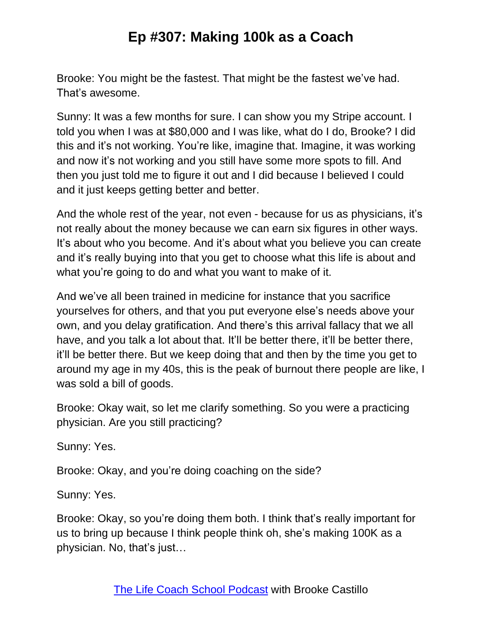Brooke: You might be the fastest. That might be the fastest we've had. That's awesome.

Sunny: It was a few months for sure. I can show you my Stripe account. I told you when I was at \$80,000 and I was like, what do I do, Brooke? I did this and it's not working. You're like, imagine that. Imagine, it was working and now it's not working and you still have some more spots to fill. And then you just told me to figure it out and I did because I believed I could and it just keeps getting better and better.

And the whole rest of the year, not even - because for us as physicians, it's not really about the money because we can earn six figures in other ways. It's about who you become. And it's about what you believe you can create and it's really buying into that you get to choose what this life is about and what you're going to do and what you want to make of it.

And we've all been trained in medicine for instance that you sacrifice yourselves for others, and that you put everyone else's needs above your own, and you delay gratification. And there's this arrival fallacy that we all have, and you talk a lot about that. It'll be better there, it'll be better there, it'll be better there. But we keep doing that and then by the time you get to around my age in my 40s, this is the peak of burnout there people are like, I was sold a bill of goods.

Brooke: Okay wait, so let me clarify something. So you were a practicing physician. Are you still practicing?

Sunny: Yes.

Brooke: Okay, and you're doing coaching on the side?

Sunny: Yes.

Brooke: Okay, so you're doing them both. I think that's really important for us to bring up because I think people think oh, she's making 100K as a physician. No, that's just…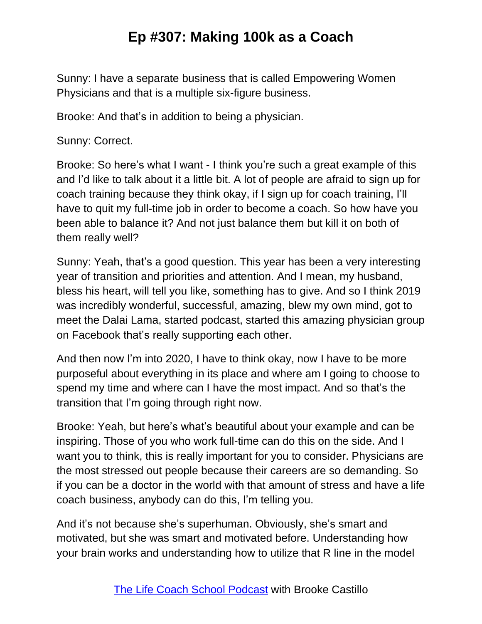Sunny: I have a separate business that is called Empowering Women Physicians and that is a multiple six-figure business.

Brooke: And that's in addition to being a physician.

Sunny: Correct.

Brooke: So here's what I want - I think you're such a great example of this and I'd like to talk about it a little bit. A lot of people are afraid to sign up for coach training because they think okay, if I sign up for coach training, I'll have to quit my full-time job in order to become a coach. So how have you been able to balance it? And not just balance them but kill it on both of them really well?

Sunny: Yeah, that's a good question. This year has been a very interesting year of transition and priorities and attention. And I mean, my husband, bless his heart, will tell you like, something has to give. And so I think 2019 was incredibly wonderful, successful, amazing, blew my own mind, got to meet the Dalai Lama, started podcast, started this amazing physician group on Facebook that's really supporting each other.

And then now I'm into 2020, I have to think okay, now I have to be more purposeful about everything in its place and where am I going to choose to spend my time and where can I have the most impact. And so that's the transition that I'm going through right now.

Brooke: Yeah, but here's what's beautiful about your example and can be inspiring. Those of you who work full-time can do this on the side. And I want you to think, this is really important for you to consider. Physicians are the most stressed out people because their careers are so demanding. So if you can be a doctor in the world with that amount of stress and have a life coach business, anybody can do this, I'm telling you.

And it's not because she's superhuman. Obviously, she's smart and motivated, but she was smart and motivated before. Understanding how your brain works and understanding how to utilize that R line in the model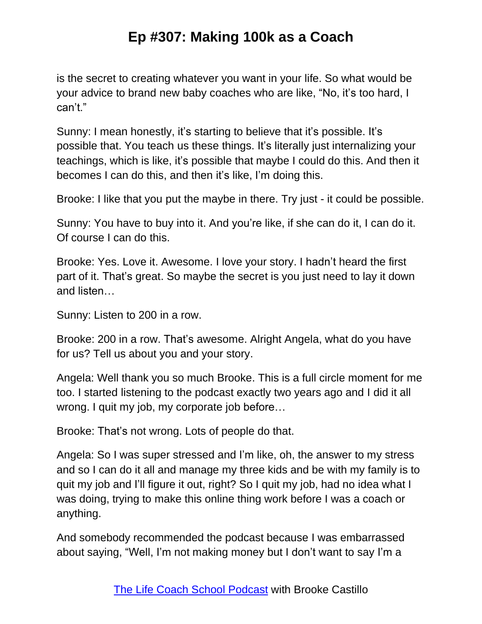is the secret to creating whatever you want in your life. So what would be your advice to brand new baby coaches who are like, "No, it's too hard, I can't."

Sunny: I mean honestly, it's starting to believe that it's possible. It's possible that. You teach us these things. It's literally just internalizing your teachings, which is like, it's possible that maybe I could do this. And then it becomes I can do this, and then it's like, I'm doing this.

Brooke: I like that you put the maybe in there. Try just - it could be possible.

Sunny: You have to buy into it. And you're like, if she can do it, I can do it. Of course I can do this.

Brooke: Yes. Love it. Awesome. I love your story. I hadn't heard the first part of it. That's great. So maybe the secret is you just need to lay it down and listen…

Sunny: Listen to 200 in a row.

Brooke: 200 in a row. That's awesome. Alright Angela, what do you have for us? Tell us about you and your story.

Angela: Well thank you so much Brooke. This is a full circle moment for me too. I started listening to the podcast exactly two years ago and I did it all wrong. I quit my job, my corporate job before…

Brooke: That's not wrong. Lots of people do that.

Angela: So I was super stressed and I'm like, oh, the answer to my stress and so I can do it all and manage my three kids and be with my family is to quit my job and I'll figure it out, right? So I quit my job, had no idea what I was doing, trying to make this online thing work before I was a coach or anything.

And somebody recommended the podcast because I was embarrassed about saying, "Well, I'm not making money but I don't want to say I'm a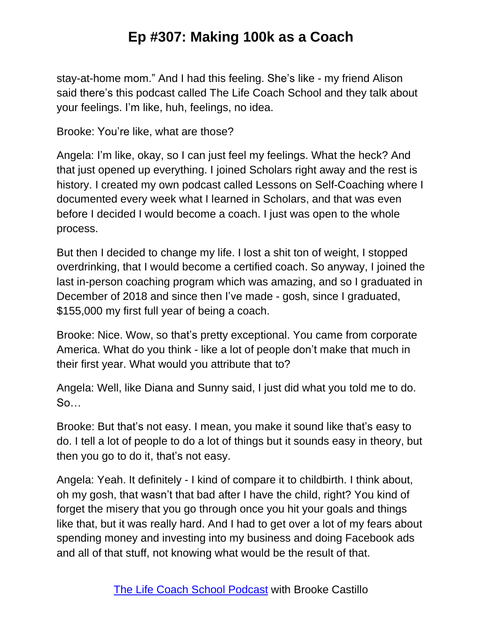stay-at-home mom." And I had this feeling. She's like - my friend Alison said there's this podcast called The Life Coach School and they talk about your feelings. I'm like, huh, feelings, no idea.

Brooke: You're like, what are those?

Angela: I'm like, okay, so I can just feel my feelings. What the heck? And that just opened up everything. I joined Scholars right away and the rest is history. I created my own podcast called Lessons on Self-Coaching where I documented every week what I learned in Scholars, and that was even before I decided I would become a coach. I just was open to the whole process.

But then I decided to change my life. I lost a shit ton of weight, I stopped overdrinking, that I would become a certified coach. So anyway, I joined the last in-person coaching program which was amazing, and so I graduated in December of 2018 and since then I've made - gosh, since I graduated, \$155,000 my first full year of being a coach.

Brooke: Nice. Wow, so that's pretty exceptional. You came from corporate America. What do you think - like a lot of people don't make that much in their first year. What would you attribute that to?

Angela: Well, like Diana and Sunny said, I just did what you told me to do. So…

Brooke: But that's not easy. I mean, you make it sound like that's easy to do. I tell a lot of people to do a lot of things but it sounds easy in theory, but then you go to do it, that's not easy.

Angela: Yeah. It definitely - I kind of compare it to childbirth. I think about, oh my gosh, that wasn't that bad after I have the child, right? You kind of forget the misery that you go through once you hit your goals and things like that, but it was really hard. And I had to get over a lot of my fears about spending money and investing into my business and doing Facebook ads and all of that stuff, not knowing what would be the result of that.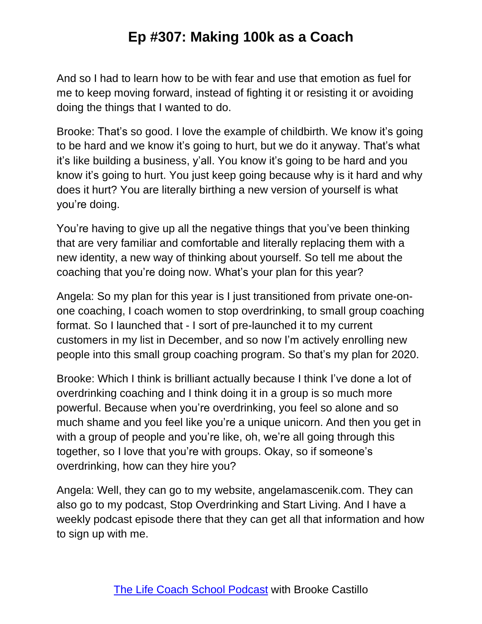And so I had to learn how to be with fear and use that emotion as fuel for me to keep moving forward, instead of fighting it or resisting it or avoiding doing the things that I wanted to do.

Brooke: That's so good. I love the example of childbirth. We know it's going to be hard and we know it's going to hurt, but we do it anyway. That's what it's like building a business, y'all. You know it's going to be hard and you know it's going to hurt. You just keep going because why is it hard and why does it hurt? You are literally birthing a new version of yourself is what you're doing.

You're having to give up all the negative things that you've been thinking that are very familiar and comfortable and literally replacing them with a new identity, a new way of thinking about yourself. So tell me about the coaching that you're doing now. What's your plan for this year?

Angela: So my plan for this year is I just transitioned from private one-onone coaching, I coach women to stop overdrinking, to small group coaching format. So I launched that - I sort of pre-launched it to my current customers in my list in December, and so now I'm actively enrolling new people into this small group coaching program. So that's my plan for 2020.

Brooke: Which I think is brilliant actually because I think I've done a lot of overdrinking coaching and I think doing it in a group is so much more powerful. Because when you're overdrinking, you feel so alone and so much shame and you feel like you're a unique unicorn. And then you get in with a group of people and you're like, oh, we're all going through this together, so I love that you're with groups. Okay, so if someone's overdrinking, how can they hire you?

Angela: Well, they can go to my website, angelamascenik.com. They can also go to my podcast, Stop Overdrinking and Start Living. And I have a weekly podcast episode there that they can get all that information and how to sign up with me.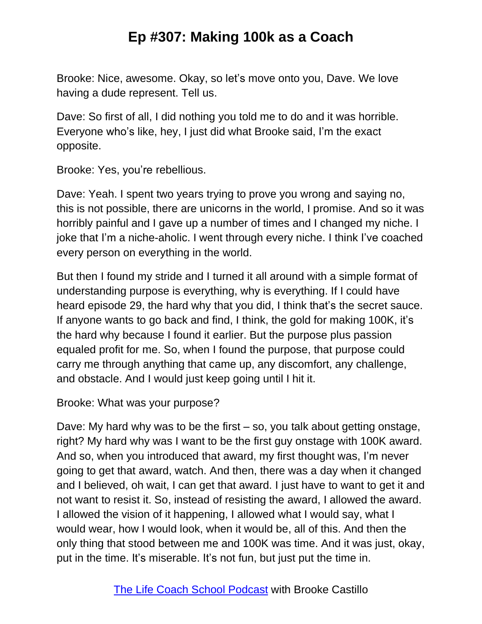Brooke: Nice, awesome. Okay, so let's move onto you, Dave. We love having a dude represent. Tell us.

Dave: So first of all, I did nothing you told me to do and it was horrible. Everyone who's like, hey, I just did what Brooke said, I'm the exact opposite.

Brooke: Yes, you're rebellious.

Dave: Yeah. I spent two years trying to prove you wrong and saying no, this is not possible, there are unicorns in the world, I promise. And so it was horribly painful and I gave up a number of times and I changed my niche. I joke that I'm a niche-aholic. I went through every niche. I think I've coached every person on everything in the world.

But then I found my stride and I turned it all around with a simple format of understanding purpose is everything, why is everything. If I could have heard episode 29, the hard why that you did, I think that's the secret sauce. If anyone wants to go back and find, I think, the gold for making 100K, it's the hard why because I found it earlier. But the purpose plus passion equaled profit for me. So, when I found the purpose, that purpose could carry me through anything that came up, any discomfort, any challenge, and obstacle. And I would just keep going until I hit it.

Brooke: What was your purpose?

Dave: My hard why was to be the first – so, you talk about getting onstage, right? My hard why was I want to be the first guy onstage with 100K award. And so, when you introduced that award, my first thought was, I'm never going to get that award, watch. And then, there was a day when it changed and I believed, oh wait, I can get that award. I just have to want to get it and not want to resist it. So, instead of resisting the award, I allowed the award. I allowed the vision of it happening, I allowed what I would say, what I would wear, how I would look, when it would be, all of this. And then the only thing that stood between me and 100K was time. And it was just, okay, put in the time. It's miserable. It's not fun, but just put the time in.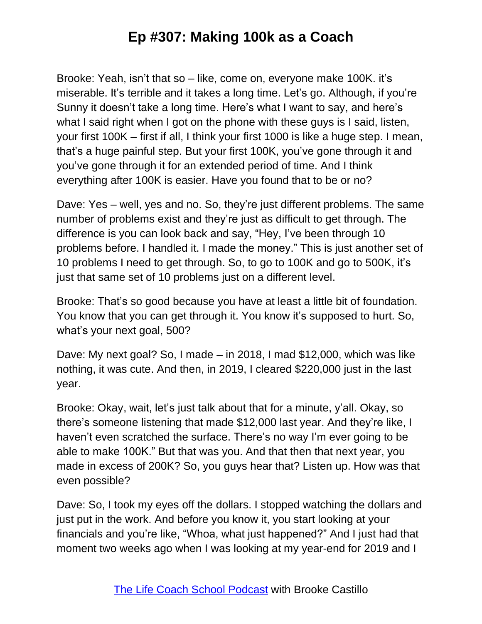Brooke: Yeah, isn't that so – like, come on, everyone make 100K. it's miserable. It's terrible and it takes a long time. Let's go. Although, if you're Sunny it doesn't take a long time. Here's what I want to say, and here's what I said right when I got on the phone with these guys is I said, listen, your first 100K – first if all, I think your first 1000 is like a huge step. I mean, that's a huge painful step. But your first 100K, you've gone through it and you've gone through it for an extended period of time. And I think everything after 100K is easier. Have you found that to be or no?

Dave: Yes – well, yes and no. So, they're just different problems. The same number of problems exist and they're just as difficult to get through. The difference is you can look back and say, "Hey, I've been through 10 problems before. I handled it. I made the money." This is just another set of 10 problems I need to get through. So, to go to 100K and go to 500K, it's just that same set of 10 problems just on a different level.

Brooke: That's so good because you have at least a little bit of foundation. You know that you can get through it. You know it's supposed to hurt. So, what's your next goal, 500?

Dave: My next goal? So, I made – in 2018, I mad \$12,000, which was like nothing, it was cute. And then, in 2019, I cleared \$220,000 just in the last year.

Brooke: Okay, wait, let's just talk about that for a minute, y'all. Okay, so there's someone listening that made \$12,000 last year. And they're like, I haven't even scratched the surface. There's no way I'm ever going to be able to make 100K." But that was you. And that then that next year, you made in excess of 200K? So, you guys hear that? Listen up. How was that even possible?

Dave: So, I took my eyes off the dollars. I stopped watching the dollars and just put in the work. And before you know it, you start looking at your financials and you're like, "Whoa, what just happened?" And I just had that moment two weeks ago when I was looking at my year-end for 2019 and I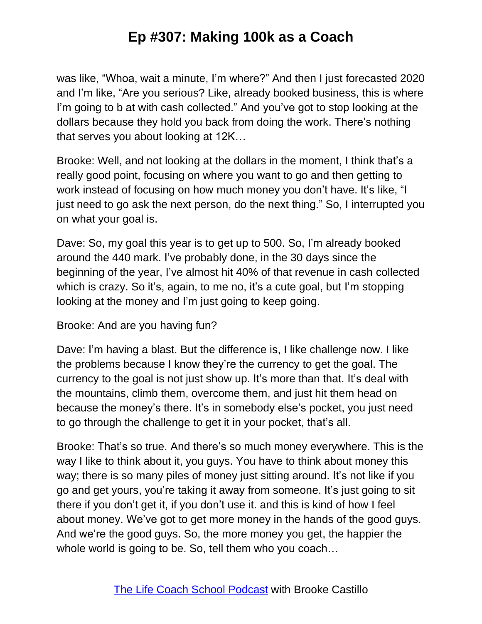was like, "Whoa, wait a minute, I'm where?" And then I just forecasted 2020 and I'm like, "Are you serious? Like, already booked business, this is where I'm going to b at with cash collected." And you've got to stop looking at the dollars because they hold you back from doing the work. There's nothing that serves you about looking at 12K…

Brooke: Well, and not looking at the dollars in the moment, I think that's a really good point, focusing on where you want to go and then getting to work instead of focusing on how much money you don't have. It's like, "I just need to go ask the next person, do the next thing." So, I interrupted you on what your goal is.

Dave: So, my goal this year is to get up to 500. So, I'm already booked around the 440 mark. I've probably done, in the 30 days since the beginning of the year, I've almost hit 40% of that revenue in cash collected which is crazy. So it's, again, to me no, it's a cute goal, but I'm stopping looking at the money and I'm just going to keep going.

Brooke: And are you having fun?

Dave: I'm having a blast. But the difference is, I like challenge now. I like the problems because I know they're the currency to get the goal. The currency to the goal is not just show up. It's more than that. It's deal with the mountains, climb them, overcome them, and just hit them head on because the money's there. It's in somebody else's pocket, you just need to go through the challenge to get it in your pocket, that's all.

Brooke: That's so true. And there's so much money everywhere. This is the way I like to think about it, you guys. You have to think about money this way; there is so many piles of money just sitting around. It's not like if you go and get yours, you're taking it away from someone. It's just going to sit there if you don't get it, if you don't use it. and this is kind of how I feel about money. We've got to get more money in the hands of the good guys. And we're the good guys. So, the more money you get, the happier the whole world is going to be. So, tell them who you coach...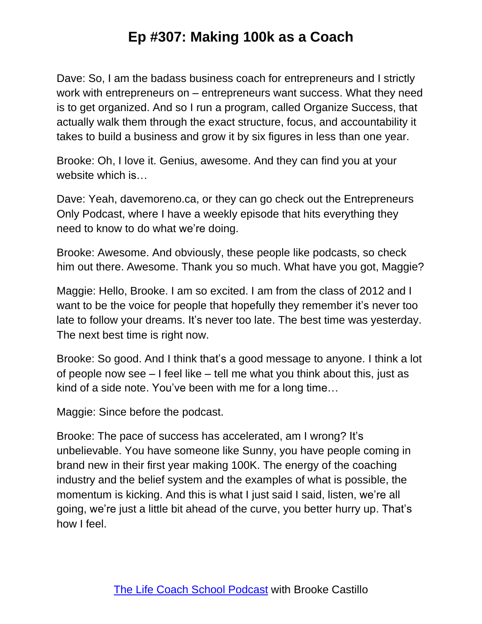Dave: So, I am the badass business coach for entrepreneurs and I strictly work with entrepreneurs on – entrepreneurs want success. What they need is to get organized. And so I run a program, called Organize Success, that actually walk them through the exact structure, focus, and accountability it takes to build a business and grow it by six figures in less than one year.

Brooke: Oh, I love it. Genius, awesome. And they can find you at your website which is…

Dave: Yeah, davemoreno.ca, or they can go check out the Entrepreneurs Only Podcast, where I have a weekly episode that hits everything they need to know to do what we're doing.

Brooke: Awesome. And obviously, these people like podcasts, so check him out there. Awesome. Thank you so much. What have you got, Maggie?

Maggie: Hello, Brooke. I am so excited. I am from the class of 2012 and I want to be the voice for people that hopefully they remember it's never too late to follow your dreams. It's never too late. The best time was yesterday. The next best time is right now.

Brooke: So good. And I think that's a good message to anyone. I think a lot of people now see – I feel like – tell me what you think about this, just as kind of a side note. You've been with me for a long time…

Maggie: Since before the podcast.

Brooke: The pace of success has accelerated, am I wrong? It's unbelievable. You have someone like Sunny, you have people coming in brand new in their first year making 100K. The energy of the coaching industry and the belief system and the examples of what is possible, the momentum is kicking. And this is what I just said I said, listen, we're all going, we're just a little bit ahead of the curve, you better hurry up. That's how I feel.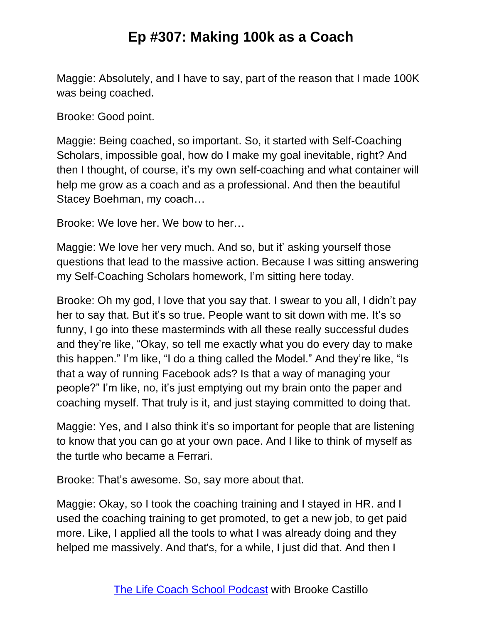Maggie: Absolutely, and I have to say, part of the reason that I made 100K was being coached.

Brooke: Good point.

Maggie: Being coached, so important. So, it started with Self-Coaching Scholars, impossible goal, how do I make my goal inevitable, right? And then I thought, of course, it's my own self-coaching and what container will help me grow as a coach and as a professional. And then the beautiful Stacey Boehman, my coach…

Brooke: We love her. We bow to her…

Maggie: We love her very much. And so, but it' asking yourself those questions that lead to the massive action. Because I was sitting answering my Self-Coaching Scholars homework, I'm sitting here today.

Brooke: Oh my god, I love that you say that. I swear to you all, I didn't pay her to say that. But it's so true. People want to sit down with me. It's so funny, I go into these masterminds with all these really successful dudes and they're like, "Okay, so tell me exactly what you do every day to make this happen." I'm like, "I do a thing called the Model." And they're like, "Is that a way of running Facebook ads? Is that a way of managing your people?" I'm like, no, it's just emptying out my brain onto the paper and coaching myself. That truly is it, and just staying committed to doing that.

Maggie: Yes, and I also think it's so important for people that are listening to know that you can go at your own pace. And I like to think of myself as the turtle who became a Ferrari.

Brooke: That's awesome. So, say more about that.

Maggie: Okay, so I took the coaching training and I stayed in HR. and I used the coaching training to get promoted, to get a new job, to get paid more. Like, I applied all the tools to what I was already doing and they helped me massively. And that's, for a while, I just did that. And then I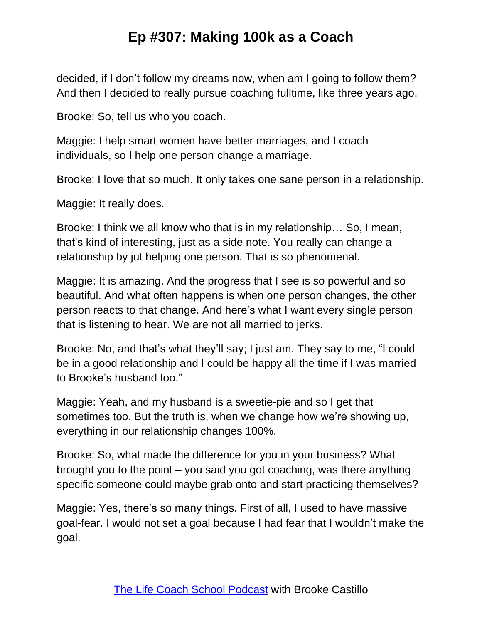decided, if I don't follow my dreams now, when am I going to follow them? And then I decided to really pursue coaching fulltime, like three years ago.

Brooke: So, tell us who you coach.

Maggie: I help smart women have better marriages, and I coach individuals, so I help one person change a marriage.

Brooke: I love that so much. It only takes one sane person in a relationship.

Maggie: It really does.

Brooke: I think we all know who that is in my relationship… So, I mean, that's kind of interesting, just as a side note. You really can change a relationship by jut helping one person. That is so phenomenal.

Maggie: It is amazing. And the progress that I see is so powerful and so beautiful. And what often happens is when one person changes, the other person reacts to that change. And here's what I want every single person that is listening to hear. We are not all married to jerks.

Brooke: No, and that's what they'll say; I just am. They say to me, "I could be in a good relationship and I could be happy all the time if I was married to Brooke's husband too."

Maggie: Yeah, and my husband is a sweetie-pie and so I get that sometimes too. But the truth is, when we change how we're showing up, everything in our relationship changes 100%.

Brooke: So, what made the difference for you in your business? What brought you to the point – you said you got coaching, was there anything specific someone could maybe grab onto and start practicing themselves?

Maggie: Yes, there's so many things. First of all, I used to have massive goal-fear. I would not set a goal because I had fear that I wouldn't make the goal.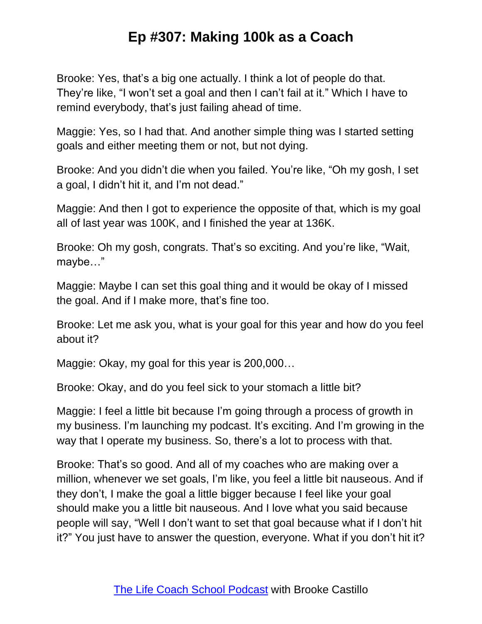Brooke: Yes, that's a big one actually. I think a lot of people do that. They're like, "I won't set a goal and then I can't fail at it." Which I have to remind everybody, that's just failing ahead of time.

Maggie: Yes, so I had that. And another simple thing was I started setting goals and either meeting them or not, but not dying.

Brooke: And you didn't die when you failed. You're like, "Oh my gosh, I set a goal, I didn't hit it, and I'm not dead."

Maggie: And then I got to experience the opposite of that, which is my goal all of last year was 100K, and I finished the year at 136K.

Brooke: Oh my gosh, congrats. That's so exciting. And you're like, "Wait, maybe…"

Maggie: Maybe I can set this goal thing and it would be okay of I missed the goal. And if I make more, that's fine too.

Brooke: Let me ask you, what is your goal for this year and how do you feel about it?

Maggie: Okay, my goal for this year is 200,000…

Brooke: Okay, and do you feel sick to your stomach a little bit?

Maggie: I feel a little bit because I'm going through a process of growth in my business. I'm launching my podcast. It's exciting. And I'm growing in the way that I operate my business. So, there's a lot to process with that.

Brooke: That's so good. And all of my coaches who are making over a million, whenever we set goals, I'm like, you feel a little bit nauseous. And if they don't, I make the goal a little bigger because I feel like your goal should make you a little bit nauseous. And I love what you said because people will say, "Well I don't want to set that goal because what if I don't hit it?" You just have to answer the question, everyone. What if you don't hit it?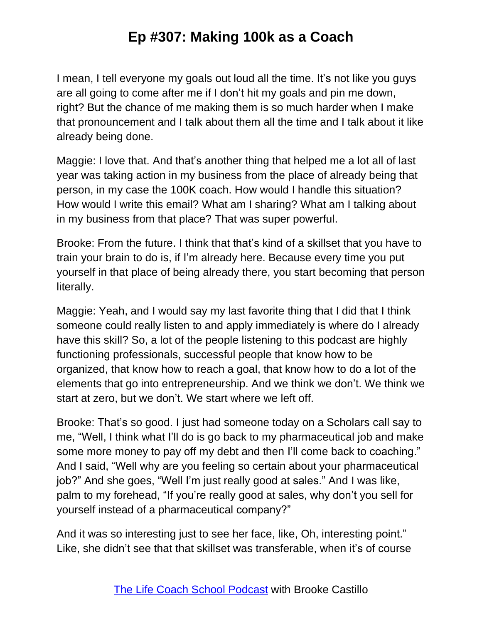I mean, I tell everyone my goals out loud all the time. It's not like you guys are all going to come after me if I don't hit my goals and pin me down, right? But the chance of me making them is so much harder when I make that pronouncement and I talk about them all the time and I talk about it like already being done.

Maggie: I love that. And that's another thing that helped me a lot all of last year was taking action in my business from the place of already being that person, in my case the 100K coach. How would I handle this situation? How would I write this email? What am I sharing? What am I talking about in my business from that place? That was super powerful.

Brooke: From the future. I think that that's kind of a skillset that you have to train your brain to do is, if I'm already here. Because every time you put yourself in that place of being already there, you start becoming that person literally.

Maggie: Yeah, and I would say my last favorite thing that I did that I think someone could really listen to and apply immediately is where do I already have this skill? So, a lot of the people listening to this podcast are highly functioning professionals, successful people that know how to be organized, that know how to reach a goal, that know how to do a lot of the elements that go into entrepreneurship. And we think we don't. We think we start at zero, but we don't. We start where we left off.

Brooke: That's so good. I just had someone today on a Scholars call say to me, "Well, I think what I'll do is go back to my pharmaceutical job and make some more money to pay off my debt and then I'll come back to coaching." And I said, "Well why are you feeling so certain about your pharmaceutical job?" And she goes, "Well I'm just really good at sales." And I was like, palm to my forehead, "If you're really good at sales, why don't you sell for yourself instead of a pharmaceutical company?"

And it was so interesting just to see her face, like, Oh, interesting point." Like, she didn't see that that skillset was transferable, when it's of course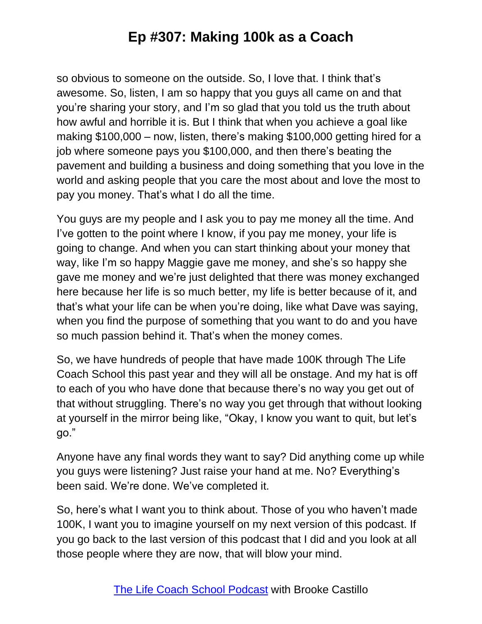so obvious to someone on the outside. So, I love that. I think that's awesome. So, listen, I am so happy that you guys all came on and that you're sharing your story, and I'm so glad that you told us the truth about how awful and horrible it is. But I think that when you achieve a goal like making \$100,000 – now, listen, there's making \$100,000 getting hired for a job where someone pays you \$100,000, and then there's beating the pavement and building a business and doing something that you love in the world and asking people that you care the most about and love the most to pay you money. That's what I do all the time.

You guys are my people and I ask you to pay me money all the time. And I've gotten to the point where I know, if you pay me money, your life is going to change. And when you can start thinking about your money that way, like I'm so happy Maggie gave me money, and she's so happy she gave me money and we're just delighted that there was money exchanged here because her life is so much better, my life is better because of it, and that's what your life can be when you're doing, like what Dave was saying, when you find the purpose of something that you want to do and you have so much passion behind it. That's when the money comes.

So, we have hundreds of people that have made 100K through The Life Coach School this past year and they will all be onstage. And my hat is off to each of you who have done that because there's no way you get out of that without struggling. There's no way you get through that without looking at yourself in the mirror being like, "Okay, I know you want to quit, but let's go."

Anyone have any final words they want to say? Did anything come up while you guys were listening? Just raise your hand at me. No? Everything's been said. We're done. We've completed it.

So, here's what I want you to think about. Those of you who haven't made 100K, I want you to imagine yourself on my next version of this podcast. If you go back to the last version of this podcast that I did and you look at all those people where they are now, that will blow your mind.